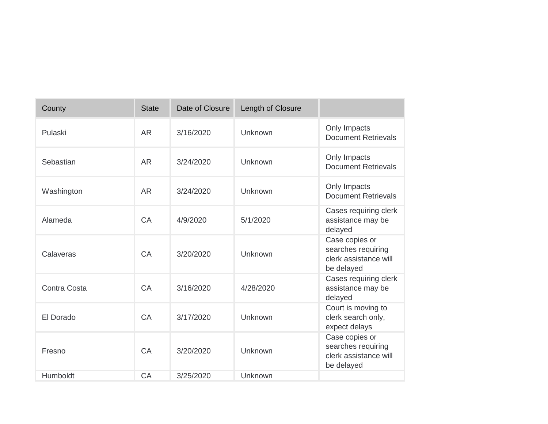| County       | <b>State</b> | Date of Closure | Length of Closure |                                                                             |
|--------------|--------------|-----------------|-------------------|-----------------------------------------------------------------------------|
| Pulaski      | <b>AR</b>    | 3/16/2020       | Unknown           | Only Impacts<br><b>Document Retrievals</b>                                  |
| Sebastian    | <b>AR</b>    | 3/24/2020       | Unknown           | Only Impacts<br><b>Document Retrievals</b>                                  |
| Washington   | <b>AR</b>    | 3/24/2020       | Unknown           | Only Impacts<br><b>Document Retrievals</b>                                  |
| Alameda      | CA           | 4/9/2020        | 5/1/2020          | Cases requiring clerk<br>assistance may be<br>delayed                       |
| Calaveras    | CA           | 3/20/2020       | Unknown           | Case copies or<br>searches requiring<br>clerk assistance will<br>be delayed |
| Contra Costa | CA           | 3/16/2020       | 4/28/2020         | Cases requiring clerk<br>assistance may be<br>delayed                       |
| El Dorado    | CA           | 3/17/2020       | Unknown           | Court is moving to<br>clerk search only,<br>expect delays                   |
| Fresno       | CA           | 3/20/2020       | Unknown           | Case copies or<br>searches requiring<br>clerk assistance will<br>be delayed |
| Humboldt     | CA           | 3/25/2020       | Unknown           |                                                                             |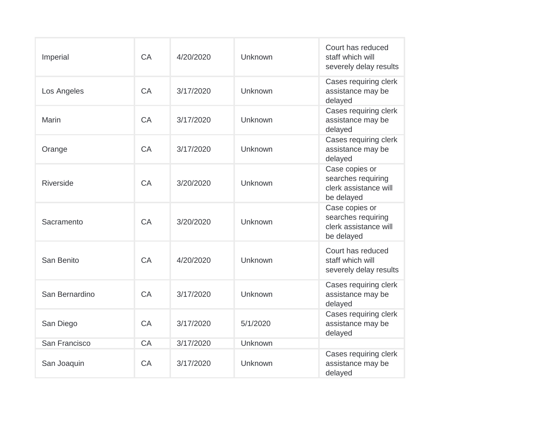| Imperial       | CA | 4/20/2020 | Unknown  | Court has reduced<br>staff which will<br>severely delay results             |
|----------------|----|-----------|----------|-----------------------------------------------------------------------------|
| Los Angeles    | CA | 3/17/2020 | Unknown  | Cases requiring clerk<br>assistance may be<br>delayed                       |
| <b>Marin</b>   | CA | 3/17/2020 | Unknown  | Cases requiring clerk<br>assistance may be<br>delayed                       |
| Orange         | CA | 3/17/2020 | Unknown  | Cases requiring clerk<br>assistance may be<br>delayed                       |
| Riverside      | CA | 3/20/2020 | Unknown  | Case copies or<br>searches requiring<br>clerk assistance will<br>be delayed |
| Sacramento     | CA | 3/20/2020 | Unknown  | Case copies or<br>searches requiring<br>clerk assistance will<br>be delayed |
| San Benito     | CA | 4/20/2020 | Unknown  | Court has reduced<br>staff which will<br>severely delay results             |
| San Bernardino | CA | 3/17/2020 | Unknown  | Cases requiring clerk<br>assistance may be<br>delayed                       |
| San Diego      | CA | 3/17/2020 | 5/1/2020 | Cases requiring clerk<br>assistance may be<br>delayed                       |
| San Francisco  | CA | 3/17/2020 | Unknown  |                                                                             |
| San Joaquin    | CA | 3/17/2020 | Unknown  | Cases requiring clerk<br>assistance may be<br>delayed                       |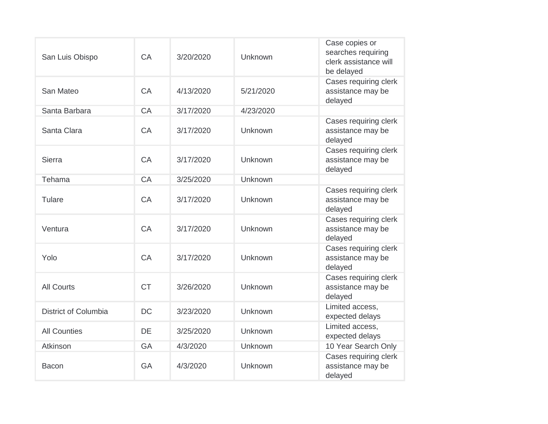| San Luis Obispo             | CA        | 3/20/2020 | Unknown   | Case copies or<br>searches requiring<br>clerk assistance will<br>be delayed |
|-----------------------------|-----------|-----------|-----------|-----------------------------------------------------------------------------|
| San Mateo                   | CA        | 4/13/2020 | 5/21/2020 | Cases requiring clerk<br>assistance may be<br>delayed                       |
| Santa Barbara               | CA        | 3/17/2020 | 4/23/2020 |                                                                             |
| Santa Clara                 | CA        | 3/17/2020 | Unknown   | Cases requiring clerk<br>assistance may be<br>delayed                       |
| Sierra                      | CA        | 3/17/2020 | Unknown   | Cases requiring clerk<br>assistance may be<br>delayed                       |
| Tehama                      | CA        | 3/25/2020 | Unknown   |                                                                             |
| Tulare                      | CA        | 3/17/2020 | Unknown   | Cases requiring clerk<br>assistance may be<br>delayed                       |
| Ventura                     | CA        | 3/17/2020 | Unknown   | Cases requiring clerk<br>assistance may be<br>delayed                       |
| Yolo                        | CA        | 3/17/2020 | Unknown   | Cases requiring clerk<br>assistance may be<br>delayed                       |
| <b>All Courts</b>           | <b>CT</b> | 3/26/2020 | Unknown   | Cases requiring clerk<br>assistance may be<br>delayed                       |
| <b>District of Columbia</b> | <b>DC</b> | 3/23/2020 | Unknown   | Limited access,<br>expected delays                                          |
| <b>All Counties</b>         | DE        | 3/25/2020 | Unknown   | Limited access.<br>expected delays                                          |
| Atkinson                    | <b>GA</b> | 4/3/2020  | Unknown   | 10 Year Search Only                                                         |
| <b>Bacon</b>                | <b>GA</b> | 4/3/2020  | Unknown   | Cases requiring clerk<br>assistance may be<br>delayed                       |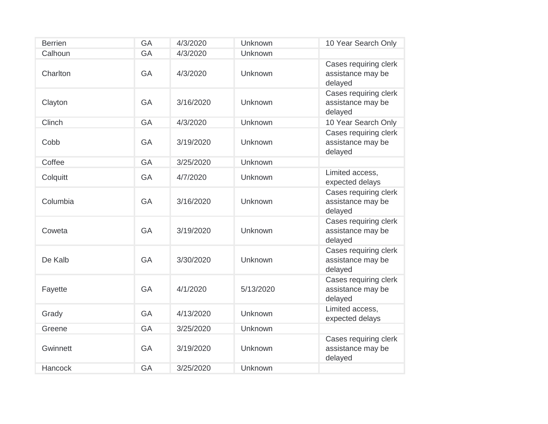| <b>Berrien</b> | <b>GA</b> | 4/3/2020  | Unknown   | 10 Year Search Only                                   |
|----------------|-----------|-----------|-----------|-------------------------------------------------------|
| Calhoun        | <b>GA</b> | 4/3/2020  | Unknown   |                                                       |
| Charlton       | <b>GA</b> | 4/3/2020  | Unknown   | Cases requiring clerk<br>assistance may be<br>delayed |
| Clayton        | <b>GA</b> | 3/16/2020 | Unknown   | Cases requiring clerk<br>assistance may be<br>delayed |
| Clinch         | <b>GA</b> | 4/3/2020  | Unknown   | 10 Year Search Only                                   |
| Cobb           | GA        | 3/19/2020 | Unknown   | Cases requiring clerk<br>assistance may be<br>delayed |
| Coffee         | <b>GA</b> | 3/25/2020 | Unknown   |                                                       |
| Colquitt       | GA        | 4/7/2020  | Unknown   | Limited access,<br>expected delays                    |
| Columbia       | <b>GA</b> | 3/16/2020 | Unknown   | Cases requiring clerk<br>assistance may be<br>delayed |
| Coweta         | <b>GA</b> | 3/19/2020 | Unknown   | Cases requiring clerk<br>assistance may be<br>delayed |
| De Kalb        | <b>GA</b> | 3/30/2020 | Unknown   | Cases requiring clerk<br>assistance may be<br>delayed |
| Fayette        | <b>GA</b> | 4/1/2020  | 5/13/2020 | Cases requiring clerk<br>assistance may be<br>delayed |
| Grady          | <b>GA</b> | 4/13/2020 | Unknown   | Limited access,<br>expected delays                    |
| Greene         | <b>GA</b> | 3/25/2020 | Unknown   |                                                       |
| Gwinnett       | <b>GA</b> | 3/19/2020 | Unknown   | Cases requiring clerk<br>assistance may be<br>delayed |
| Hancock        | <b>GA</b> | 3/25/2020 | Unknown   |                                                       |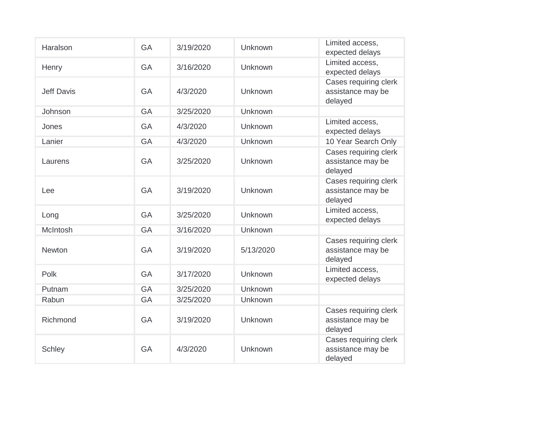| Haralson          | <b>GA</b> | 3/19/2020 | Unknown        | Limited access,<br>expected delays                    |
|-------------------|-----------|-----------|----------------|-------------------------------------------------------|
| Henry             | <b>GA</b> | 3/16/2020 | Unknown        | Limited access,<br>expected delays                    |
| <b>Jeff Davis</b> | GA        | 4/3/2020  | Unknown        | Cases requiring clerk<br>assistance may be<br>delayed |
| Johnson           | <b>GA</b> | 3/25/2020 | <b>Unknown</b> |                                                       |
| Jones             | <b>GA</b> | 4/3/2020  | <b>Unknown</b> | Limited access,<br>expected delays                    |
| Lanier            | <b>GA</b> | 4/3/2020  | Unknown        | 10 Year Search Only                                   |
| Laurens           | GA        | 3/25/2020 | Unknown        | Cases requiring clerk<br>assistance may be<br>delayed |
| Lee               | <b>GA</b> | 3/19/2020 | Unknown        | Cases requiring clerk<br>assistance may be<br>delayed |
| Long              | <b>GA</b> | 3/25/2020 | Unknown        | Limited access,<br>expected delays                    |
| McIntosh          | <b>GA</b> | 3/16/2020 | Unknown        |                                                       |
| <b>Newton</b>     | <b>GA</b> | 3/19/2020 | 5/13/2020      | Cases requiring clerk<br>assistance may be<br>delayed |
| Polk              | <b>GA</b> | 3/17/2020 | Unknown        | Limited access,<br>expected delays                    |
| Putnam            | <b>GA</b> | 3/25/2020 | <b>Unknown</b> |                                                       |
| Rabun             | GA        | 3/25/2020 | Unknown        |                                                       |
| Richmond          | GA        | 3/19/2020 | Unknown        | Cases requiring clerk<br>assistance may be<br>delayed |
| <b>Schley</b>     | <b>GA</b> | 4/3/2020  | Unknown        | Cases requiring clerk<br>assistance may be<br>delayed |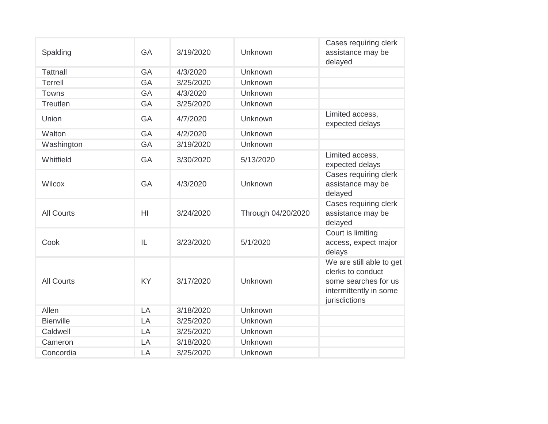| Spalding          | <b>GA</b>      | 3/19/2020 | Unknown            | Cases requiring clerk<br>assistance may be<br>delayed                                                            |
|-------------------|----------------|-----------|--------------------|------------------------------------------------------------------------------------------------------------------|
| <b>Tattnall</b>   | GA             | 4/3/2020  | Unknown            |                                                                                                                  |
| <b>Terrell</b>    | <b>GA</b>      | 3/25/2020 | Unknown            |                                                                                                                  |
| Towns             | <b>GA</b>      | 4/3/2020  | Unknown            |                                                                                                                  |
| Treutlen          | <b>GA</b>      | 3/25/2020 | Unknown            |                                                                                                                  |
| Union             | <b>GA</b>      | 4/7/2020  | Unknown            | Limited access,<br>expected delays                                                                               |
| Walton            | <b>GA</b>      | 4/2/2020  | Unknown            |                                                                                                                  |
| Washington        | <b>GA</b>      | 3/19/2020 | Unknown            |                                                                                                                  |
| Whitfield         | <b>GA</b>      | 3/30/2020 | 5/13/2020          | Limited access,<br>expected delays                                                                               |
| Wilcox            | <b>GA</b>      | 4/3/2020  | Unknown            | Cases requiring clerk<br>assistance may be<br>delayed                                                            |
| <b>All Courts</b> | H <sub>l</sub> | 3/24/2020 | Through 04/20/2020 | Cases requiring clerk<br>assistance may be<br>delayed                                                            |
| Cook              | IL             | 3/23/2020 | 5/1/2020           | Court is limiting<br>access, expect major<br>delays                                                              |
| <b>All Courts</b> | <b>KY</b>      | 3/17/2020 | Unknown            | We are still able to get<br>clerks to conduct<br>some searches for us<br>intermittently in some<br>jurisdictions |
| Allen             | LA             | 3/18/2020 | Unknown            |                                                                                                                  |
| <b>Bienville</b>  | LA             | 3/25/2020 | Unknown            |                                                                                                                  |
| Caldwell          | LA             | 3/25/2020 | Unknown            |                                                                                                                  |
| Cameron           | LA             | 3/18/2020 | Unknown            |                                                                                                                  |
| Concordia         | LA             | 3/25/2020 | Unknown            |                                                                                                                  |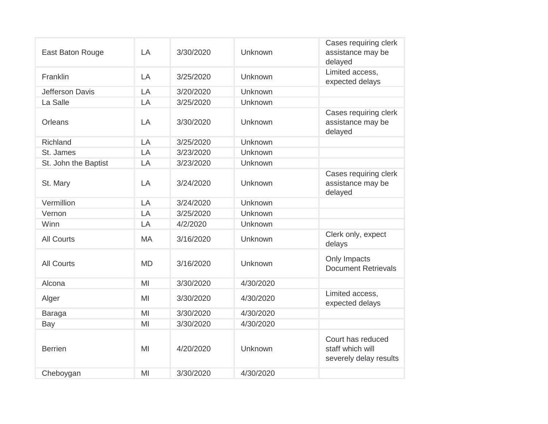| East Baton Rouge     | LA        | 3/30/2020 | Unknown   | Cases requiring clerk<br>assistance may be<br>delayed           |
|----------------------|-----------|-----------|-----------|-----------------------------------------------------------------|
| Franklin             | LA        | 3/25/2020 | Unknown   | Limited access,<br>expected delays                              |
| Jefferson Davis      | LA        | 3/20/2020 | Unknown   |                                                                 |
| La Salle             | LA        | 3/25/2020 | Unknown   |                                                                 |
| <b>Orleans</b>       | LA        | 3/30/2020 | Unknown   | Cases requiring clerk<br>assistance may be<br>delayed           |
| Richland             | LA        | 3/25/2020 | Unknown   |                                                                 |
| St. James            | LA        | 3/23/2020 | Unknown   |                                                                 |
| St. John the Baptist | LA        | 3/23/2020 | Unknown   |                                                                 |
| St. Mary             | LA        | 3/24/2020 | Unknown   | Cases requiring clerk<br>assistance may be<br>delayed           |
| Vermillion           | LA        | 3/24/2020 | Unknown   |                                                                 |
| Vernon               | LA        | 3/25/2020 | Unknown   |                                                                 |
| Winn                 | LA        | 4/2/2020  | Unknown   |                                                                 |
| <b>All Courts</b>    | <b>MA</b> | 3/16/2020 | Unknown   | Clerk only, expect<br>delays                                    |
| <b>All Courts</b>    | <b>MD</b> | 3/16/2020 | Unknown   | Only Impacts<br><b>Document Retrievals</b>                      |
| Alcona               | MI        | 3/30/2020 | 4/30/2020 |                                                                 |
| Alger                | MI        | 3/30/2020 | 4/30/2020 | Limited access,<br>expected delays                              |
| <b>Baraga</b>        | MI        | 3/30/2020 | 4/30/2020 |                                                                 |
| Bay                  | MI        | 3/30/2020 | 4/30/2020 |                                                                 |
| <b>Berrien</b>       | MI        | 4/20/2020 | Unknown   | Court has reduced<br>staff which will<br>severely delay results |
| Cheboygan            | MI        | 3/30/2020 | 4/30/2020 |                                                                 |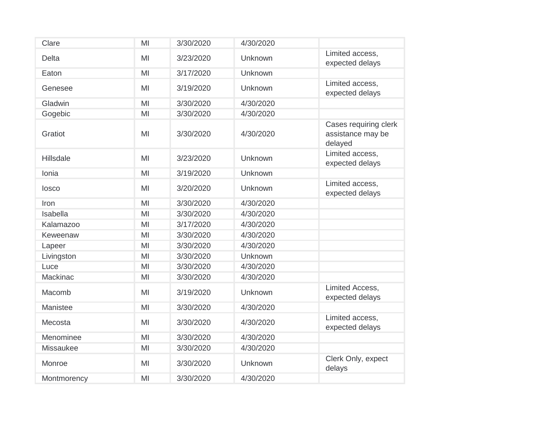| Clare            | MI | 3/30/2020 | 4/30/2020 |                                                       |
|------------------|----|-----------|-----------|-------------------------------------------------------|
| <b>Delta</b>     | MI | 3/23/2020 | Unknown   | Limited access,<br>expected delays                    |
| Eaton            | MI | 3/17/2020 | Unknown   |                                                       |
| Genesee          | MI | 3/19/2020 | Unknown   | Limited access,<br>expected delays                    |
| Gladwin          | MI | 3/30/2020 | 4/30/2020 |                                                       |
| Gogebic          | MI | 3/30/2020 | 4/30/2020 |                                                       |
| Gratiot          | MI | 3/30/2020 | 4/30/2020 | Cases requiring clerk<br>assistance may be<br>delayed |
| <b>Hillsdale</b> | MI | 3/23/2020 | Unknown   | Limited access,<br>expected delays                    |
| Ionia            | MI | 3/19/2020 | Unknown   |                                                       |
| losco            | MI | 3/20/2020 | Unknown   | Limited access.<br>expected delays                    |
| Iron             | MI | 3/30/2020 | 4/30/2020 |                                                       |
| Isabella         | MI | 3/30/2020 | 4/30/2020 |                                                       |
| Kalamazoo        | MI | 3/17/2020 | 4/30/2020 |                                                       |
| Keweenaw         | MI | 3/30/2020 | 4/30/2020 |                                                       |
| Lapeer           | MI | 3/30/2020 | 4/30/2020 |                                                       |
| Livingston       | MI | 3/30/2020 | Unknown   |                                                       |
| Luce             | MI | 3/30/2020 | 4/30/2020 |                                                       |
| Mackinac         | MI | 3/30/2020 | 4/30/2020 |                                                       |
| Macomb           | MI | 3/19/2020 | Unknown   | Limited Access,<br>expected delays                    |
| Manistee         | MI | 3/30/2020 | 4/30/2020 |                                                       |
| Mecosta          | MI | 3/30/2020 | 4/30/2020 | Limited access,<br>expected delays                    |
| Menominee        | MI | 3/30/2020 | 4/30/2020 |                                                       |
| Missaukee        | MI | 3/30/2020 | 4/30/2020 |                                                       |
| Monroe           | MI | 3/30/2020 | Unknown   | Clerk Only, expect<br>delays                          |
| Montmorency      | MI | 3/30/2020 | 4/30/2020 |                                                       |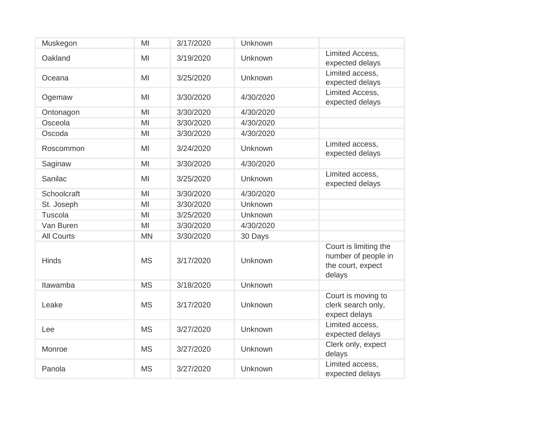| Muskegon          | MI        | 3/17/2020 | Unknown        |                                                                             |
|-------------------|-----------|-----------|----------------|-----------------------------------------------------------------------------|
| Oakland           | MI        | 3/19/2020 | Unknown        | Limited Access,<br>expected delays                                          |
| Oceana            | MI        | 3/25/2020 | Unknown        | Limited access,<br>expected delays                                          |
| Ogemaw            | MI        | 3/30/2020 | 4/30/2020      | Limited Access,<br>expected delays                                          |
| Ontonagon         | MI        | 3/30/2020 | 4/30/2020      |                                                                             |
| Osceola           | MI        | 3/30/2020 | 4/30/2020      |                                                                             |
| Oscoda            | MI        | 3/30/2020 | 4/30/2020      |                                                                             |
| Roscommon         | MI        | 3/24/2020 | Unknown        | Limited access,<br>expected delays                                          |
| Saginaw           | MI        | 3/30/2020 | 4/30/2020      |                                                                             |
| Sanilac           | MI        | 3/25/2020 | Unknown        | Limited access,<br>expected delays                                          |
| Schoolcraft       | MI        | 3/30/2020 | 4/30/2020      |                                                                             |
| St. Joseph        | MI        | 3/30/2020 | Unknown        |                                                                             |
| Tuscola           | MI        | 3/25/2020 | <b>Unknown</b> |                                                                             |
| Van Buren         | MI        | 3/30/2020 | 4/30/2020      |                                                                             |
| <b>All Courts</b> | <b>MN</b> | 3/30/2020 | 30 Days        |                                                                             |
| <b>Hinds</b>      | <b>MS</b> | 3/17/2020 | Unknown        | Court is limiting the<br>number of people in<br>the court, expect<br>delays |
| Itawamba          | <b>MS</b> | 3/18/2020 | Unknown        |                                                                             |
| Leake             | <b>MS</b> | 3/17/2020 | Unknown        | Court is moving to<br>clerk search only,<br>expect delays                   |
| Lee               | <b>MS</b> | 3/27/2020 | Unknown        | Limited access,<br>expected delays                                          |
| Monroe            | <b>MS</b> | 3/27/2020 | Unknown        | Clerk only, expect<br>delays                                                |
| Panola            | <b>MS</b> | 3/27/2020 | Unknown        | Limited access,<br>expected delays                                          |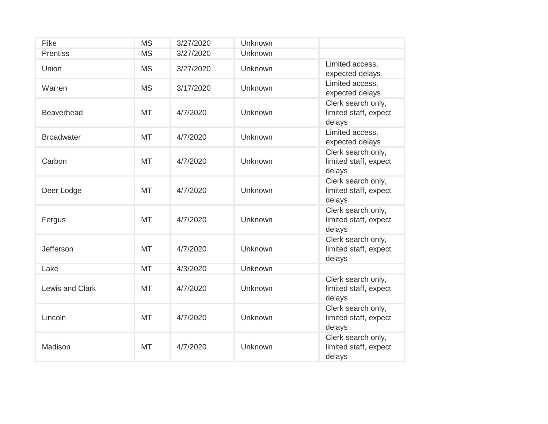| Pike              | <b>MS</b> | 3/27/2020 | Unknown        |                                                       |
|-------------------|-----------|-----------|----------------|-------------------------------------------------------|
| <b>Prentiss</b>   | <b>MS</b> | 3/27/2020 | Unknown        |                                                       |
| Union             | <b>MS</b> | 3/27/2020 | Unknown        | Limited access,<br>expected delays                    |
| Warren            | <b>MS</b> | 3/17/2020 | Unknown        | Limited access,<br>expected delays                    |
| <b>Beaverhead</b> | <b>MT</b> | 4/7/2020  | Unknown        | Clerk search only,<br>limited staff, expect<br>delays |
| <b>Broadwater</b> | <b>MT</b> | 4/7/2020  | Unknown        | Limited access,<br>expected delays                    |
| Carbon            | <b>MT</b> | 4/7/2020  | Unknown        | Clerk search only,<br>limited staff, expect<br>delays |
| Deer Lodge        | <b>MT</b> | 4/7/2020  | Unknown        | Clerk search only,<br>limited staff, expect<br>delays |
| Fergus            | <b>MT</b> | 4/7/2020  | Unknown        | Clerk search only,<br>limited staff, expect<br>delays |
| Jefferson         | <b>MT</b> | 4/7/2020  | Unknown        | Clerk search only,<br>limited staff, expect<br>delays |
| Lake              | <b>MT</b> | 4/3/2020  | <b>Unknown</b> |                                                       |
| Lewis and Clark   | <b>MT</b> | 4/7/2020  | Unknown        | Clerk search only,<br>limited staff, expect<br>delays |
| Lincoln           | <b>MT</b> | 4/7/2020  | Unknown        | Clerk search only,<br>limited staff, expect<br>delays |
| Madison           | <b>MT</b> | 4/7/2020  | Unknown        | Clerk search only,<br>limited staff, expect<br>delays |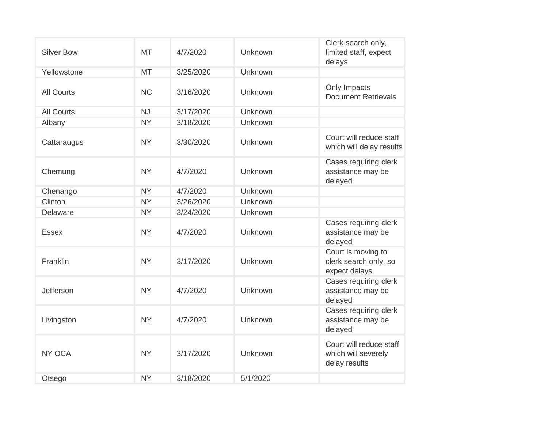| <b>Silver Bow</b> | <b>MT</b> | 4/7/2020  | Unknown  | Clerk search only,<br>limited staff, expect<br>delays           |
|-------------------|-----------|-----------|----------|-----------------------------------------------------------------|
| Yellowstone       | <b>MT</b> | 3/25/2020 | Unknown  |                                                                 |
| <b>All Courts</b> | <b>NC</b> | 3/16/2020 | Unknown  | Only Impacts<br><b>Document Retrievals</b>                      |
| <b>All Courts</b> | <b>NJ</b> | 3/17/2020 | Unknown  |                                                                 |
| Albany            | <b>NY</b> | 3/18/2020 | Unknown  |                                                                 |
| Cattaraugus       | <b>NY</b> | 3/30/2020 | Unknown  | Court will reduce staff<br>which will delay results             |
| Chemung           | <b>NY</b> | 4/7/2020  | Unknown  | Cases requiring clerk<br>assistance may be<br>delayed           |
| Chenango          | <b>NY</b> | 4/7/2020  | Unknown  |                                                                 |
| Clinton           | <b>NY</b> | 3/26/2020 | Unknown  |                                                                 |
| Delaware          | <b>NY</b> | 3/24/2020 | Unknown  |                                                                 |
| <b>Essex</b>      | <b>NY</b> | 4/7/2020  | Unknown  | Cases requiring clerk<br>assistance may be<br>delayed           |
| Franklin          | <b>NY</b> | 3/17/2020 | Unknown  | Court is moving to<br>clerk search only, so<br>expect delays    |
| Jefferson         | <b>NY</b> | 4/7/2020  | Unknown  | Cases requiring clerk<br>assistance may be<br>delayed           |
| Livingston        | <b>NY</b> | 4/7/2020  | Unknown  | Cases requiring clerk<br>assistance may be<br>delayed           |
| NY OCA            | <b>NY</b> | 3/17/2020 | Unknown  | Court will reduce staff<br>which will severely<br>delay results |
| Otsego            | <b>NY</b> | 3/18/2020 | 5/1/2020 |                                                                 |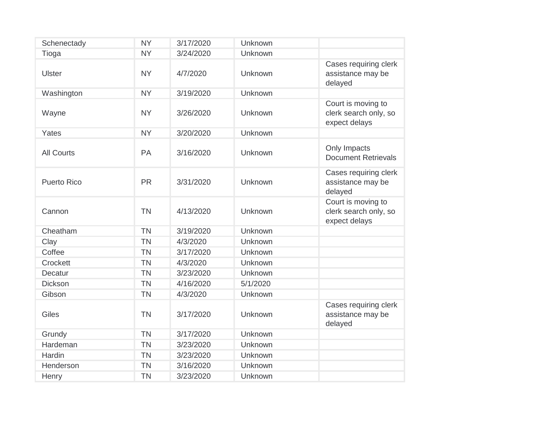| Schenectady        | <b>NY</b> | 3/17/2020 | Unknown  |                                                              |
|--------------------|-----------|-----------|----------|--------------------------------------------------------------|
| Tioga              | <b>NY</b> | 3/24/2020 | Unknown  |                                                              |
| <b>Ulster</b>      | <b>NY</b> | 4/7/2020  | Unknown  | Cases requiring clerk<br>assistance may be<br>delayed        |
| Washington         | <b>NY</b> | 3/19/2020 | Unknown  |                                                              |
| Wayne              | <b>NY</b> | 3/26/2020 | Unknown  | Court is moving to<br>clerk search only, so<br>expect delays |
| Yates              | <b>NY</b> | 3/20/2020 | Unknown  |                                                              |
| <b>All Courts</b>  | PA        | 3/16/2020 | Unknown  | Only Impacts<br><b>Document Retrievals</b>                   |
| <b>Puerto Rico</b> | <b>PR</b> | 3/31/2020 | Unknown  | Cases requiring clerk<br>assistance may be<br>delayed        |
| Cannon             | <b>TN</b> | 4/13/2020 | Unknown  | Court is moving to<br>clerk search only, so<br>expect delays |
| Cheatham           | <b>TN</b> | 3/19/2020 | Unknown  |                                                              |
| Clay               | <b>TN</b> | 4/3/2020  | Unknown  |                                                              |
| Coffee             | <b>TN</b> | 3/17/2020 | Unknown  |                                                              |
| Crockett           | <b>TN</b> | 4/3/2020  | Unknown  |                                                              |
| Decatur            | <b>TN</b> | 3/23/2020 | Unknown  |                                                              |
| <b>Dickson</b>     | <b>TN</b> | 4/16/2020 | 5/1/2020 |                                                              |
| Gibson             | <b>TN</b> | 4/3/2020  | Unknown  |                                                              |
| Giles              | <b>TN</b> | 3/17/2020 | Unknown  | Cases requiring clerk<br>assistance may be<br>delayed        |
| Grundy             | <b>TN</b> | 3/17/2020 | Unknown  |                                                              |
| Hardeman           | <b>TN</b> | 3/23/2020 | Unknown  |                                                              |
| Hardin             | <b>TN</b> | 3/23/2020 | Unknown  |                                                              |
| Henderson          | <b>TN</b> | 3/16/2020 | Unknown  |                                                              |
| Henry              | <b>TN</b> | 3/23/2020 | Unknown  |                                                              |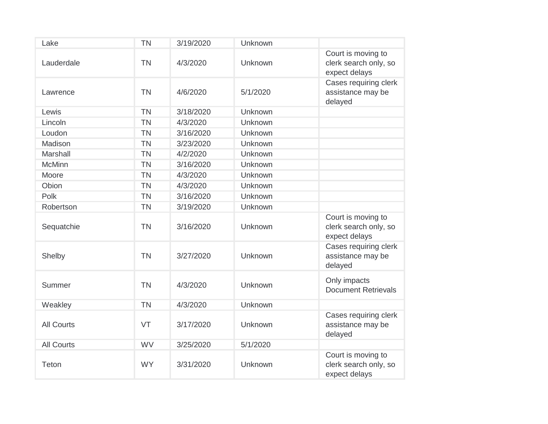| Lake              | <b>TN</b> | 3/19/2020 | Unknown  |                                                              |
|-------------------|-----------|-----------|----------|--------------------------------------------------------------|
| Lauderdale        | <b>TN</b> | 4/3/2020  | Unknown  | Court is moving to<br>clerk search only, so<br>expect delays |
| Lawrence          | <b>TN</b> | 4/6/2020  | 5/1/2020 | Cases requiring clerk<br>assistance may be<br>delayed        |
| Lewis             | <b>TN</b> | 3/18/2020 | Unknown  |                                                              |
| Lincoln           | <b>TN</b> | 4/3/2020  | Unknown  |                                                              |
| Loudon            | <b>TN</b> | 3/16/2020 | Unknown  |                                                              |
| Madison           | <b>TN</b> | 3/23/2020 | Unknown  |                                                              |
| <b>Marshall</b>   | <b>TN</b> | 4/2/2020  | Unknown  |                                                              |
| <b>McMinn</b>     | <b>TN</b> | 3/16/2020 | Unknown  |                                                              |
| Moore             | <b>TN</b> | 4/3/2020  | Unknown  |                                                              |
| Obion             | <b>TN</b> | 4/3/2020  | Unknown  |                                                              |
| Polk              | <b>TN</b> | 3/16/2020 | Unknown  |                                                              |
| Robertson         | <b>TN</b> | 3/19/2020 | Unknown  |                                                              |
| Sequatchie        | <b>TN</b> | 3/16/2020 | Unknown  | Court is moving to<br>clerk search only, so<br>expect delays |
| Shelby            | <b>TN</b> | 3/27/2020 | Unknown  | Cases requiring clerk<br>assistance may be<br>delayed        |
| Summer            | <b>TN</b> | 4/3/2020  | Unknown  | Only impacts<br><b>Document Retrievals</b>                   |
| Weakley           | <b>TN</b> | 4/3/2020  | Unknown  |                                                              |
| <b>All Courts</b> | VT        | 3/17/2020 | Unknown  | Cases requiring clerk<br>assistance may be<br>delayed        |
| <b>All Courts</b> | <b>WV</b> | 3/25/2020 | 5/1/2020 |                                                              |
| Teton             | <b>WY</b> | 3/31/2020 | Unknown  | Court is moving to<br>clerk search only, so<br>expect delays |